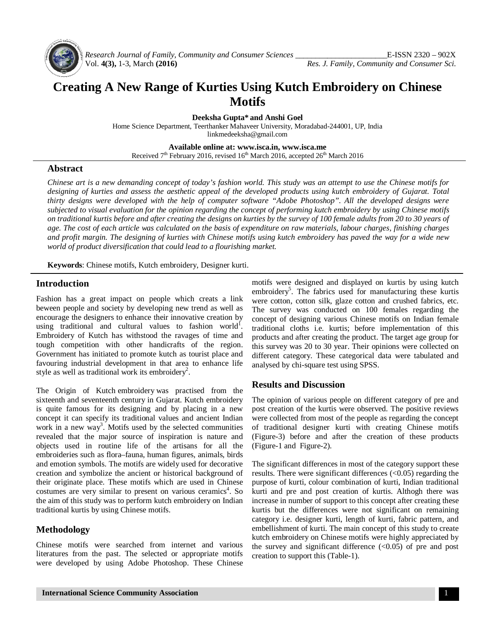

*Research Journal of Family, Community and Consumer Sciences \_\_\_\_\_\_\_\_\_\_\_\_\_\_\_\_\_\_\_\_\_\_\_*E-ISSN 2320 – 902X Vol. **4(3),** 1-3, March **(2016)** *Res. J. Family, Community and Consumer Sci.*

# **Creating A New Range of Kurties Using Kutch Embroidery on Chinese Motifs**

**Deeksha Gupta\* and Anshi Goel**

Home Science Department, Teerthanker Mahaveer University, Moradabad-244001, UP, India [linkmedeeksha@gmail.com](mailto:linkmedeeksha@gmail.com)

**Available online at: [www.isca.in,](http://www.isca.in,) [www.isca.me](http://www.isca.me)**

Received  $7<sup>th</sup>$  February 2016, revised  $16<sup>th</sup>$  March 2016, accepted  $26<sup>th</sup>$  March 2016

#### **Abstract**

*Chinese art is a new demanding concept of today's fashion world. This study was an attempt to use the Chinese motifs for designing of kurties and assess the aesthetic appeal of the developed products using kutch embroidery of Gujarat. Total thirty designs were developed with the help of computer software "Adobe Photoshop". All the developed designs were subjected to visual evaluation for the opinion regarding the concept of performing kutch embroidery by using Chinese motifs on traditional kurtis before and after creating the designs on kurties by the survey of 100 female adults from 20 to 30 years of*  age. The cost of each article was calculated on the basis of expenditure on raw materials, labour charges, finishing charges *and profit margin. The designing of kurties with Chinese motifs using kutch embroidery has paved the way for a wide new world of product diversification that could lead to a flourishing market.*

**Keywords**: Chinese motifs, Kutch embroidery, Designer kurti.

## **Introduction**

Fashion has a great impact on people which creats a link beween people and society by developing new trend as well as encourage the designers to enhance their innovative creation by using traditional and cultural values to fashion world<sup>1</sup>. Embroidery of Kutch has withstood the ravages of time and tough competition with other handicrafts of the region. Government has initiated to promote kutch as tourist place and favouring industrial development in that area to enhance life style as well as traditional work its embroidery<sup>2</sup>.

The Origin of Kutch embroidery was practised from the sixteenth and seventeenth century in Gujarat. Kutch embroidery is quite famous for its designing and by placing in a new concept it can specify its traditional values and ancient Indian work in a new way<sup>3</sup>. Motifs used by the selected communities revealed that the major source of inspiration is nature and objects used in routine life of the artisans for all the embroideries such as flora–fauna, human figures, animals, birds and emotion symbols. The motifs are widely used for decorative creation and symbolize the ancient or historical background of their originate place. These motifs which are used in Chinese costumes are very similar to present on various ceramics<sup>4</sup>. So the aim of this study was to perform kutch embroidery on Indian traditional kurtis by using Chinese motifs.

## **Methodology**

Chinese motifs were searched from internet and various literatures from the past. The selected or appropriate motifs were developed by using Adobe Photoshop. These Chinese motifs were designed and displayed on kurtis by using kutch embroidery<sup>5</sup>. The fabrics used for manufacturing these kurtis were cotton, cotton silk, glaze cotton and crushed fabrics, etc. The survey was conducted on 100 females regarding the concept of designing various Chinese motifs on Indian female traditional cloths i.e. kurtis; before implementation of this products and after creating the product. The target age group for this survey was 20 to 30 year. Their opinions were collected on different category. These categorical data were tabulated and analysed by chi-square test using SPSS.

## **Results and Discussion**

The opinion of various people on different category of pre and post creation of the kurtis were observed. The positive reviews were collected from most of the people as regarding the concept of traditional designer kurti with creating Chinese motifs (Figure-3) before and after the creation of these products (Figure-1 and Figure-2).

The significant differences in most of the category support these results. There were significant differences (<0.05) regarding the purpose of kurti, colour combination of kurti, Indian traditional kurti and pre and post creation of kurtis. Althogh there was increase in number of support to this concept after creating these kurtis but the differences were not significant on remaining category i.e. designer kurti, length of kurti, fabric pattern, and embellishment of kurti. The main concept of this study to create kutch embroidery on Chinese motifs were highly appreciated by the survey and significant difference  $( $0.05$ )$  of pre and post creation to support this (Table-1).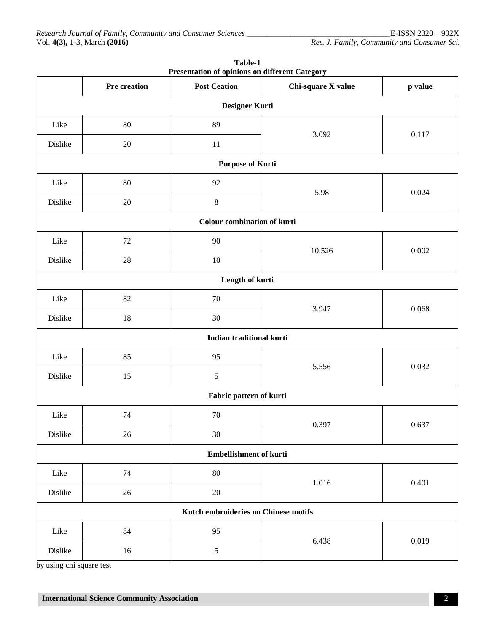| Presentation of opinions on different Category |              |                             |                    |         |
|------------------------------------------------|--------------|-----------------------------|--------------------|---------|
|                                                | Pre creation | <b>Post Ceation</b>         | Chi-square X value | p value |
| Designer Kurti                                 |              |                             |                    |         |
| Like                                           | 80           | 89                          | 3.092              | 0.117   |
| Dislike                                        | 20           | 11                          |                    |         |
|                                                |              | <b>Purpose of Kurti</b>     |                    |         |
| Like                                           | 80           | 92                          | 5.98               | 0.024   |
| Dislike                                        | $20\,$       | $\,8\,$                     |                    |         |
|                                                |              | Colour combination of kurti |                    |         |
| Like                                           | 72           | 90                          | 10.526             | 0.002   |
| Dislike                                        | 28           | $10\,$                      |                    |         |
|                                                |              | Length of kurti             |                    |         |
| Like                                           | 82           | $70\,$                      | 3.947              | 0.068   |
| Dislike                                        | 18           | 30                          |                    |         |
|                                                |              | Indian traditional kurti    |                    |         |
| Like                                           | 85           | 95                          | 5.556              | 0.032   |
| Dislike                                        | 15           | 5                           |                    |         |
| Fabric pattern of kurti                        |              |                             |                    |         |
| Like                                           | 74           | $70\,$                      | 0.397              | 0.637   |
| Dislike                                        | $26\,$       | $30\,$                      |                    |         |
|                                                |              | Embellishment of kurti      |                    |         |
| Like                                           | 74           | 80                          | 1.016              | 0.401   |
| Dislike                                        | $26\,$       | $20\,$                      |                    |         |
| Kutch embroideries on Chinese motifs           |              |                             |                    |         |
| Like                                           | 84           | 95                          | 6.438              | 0.019   |
| Dislike                                        | 16           | $\mathfrak s$               |                    |         |

**Table-1 Presentation of opinions on different Category**

by using chi square test